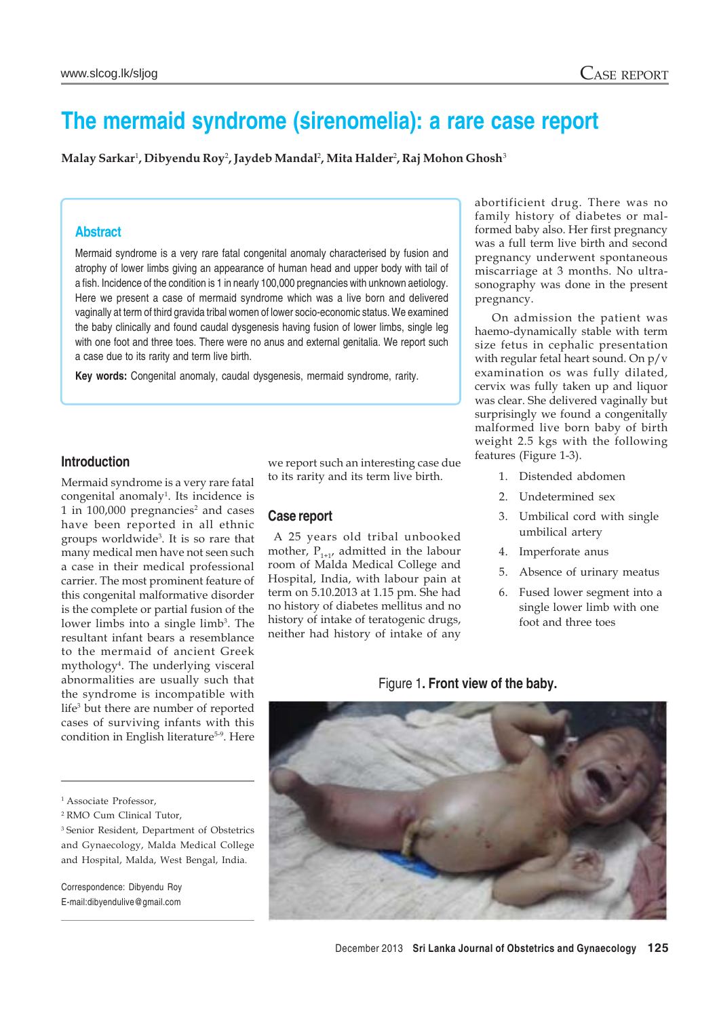# **The mermaid syndrome (sirenomelia): a rare case report**

**Malay Sarkar**<sup>1</sup> **, Dibyendu Roy**<sup>2</sup> **, Jaydeb Mandal**<sup>2</sup> **, Mita Halder**<sup>2</sup> **, Raj Mohon Ghosh**<sup>3</sup>

## **Abstract**

Mermaid syndrome is a very rare fatal congenital anomaly characterised by fusion and atrophy of lower limbs giving an appearance of human head and upper body with tail of a fish. Incidence of the condition is 1 in nearly 100,000 pregnancies with unknown aetiology. Here we present a case of mermaid syndrome which was a live born and delivered vaginally at term of third gravida tribal women of lower socio-economic status. We examined the baby clinically and found caudal dysgenesis having fusion of lower limbs, single leg with one foot and three toes. There were no anus and external genitalia. We report such a case due to its rarity and term live birth.

**Key words:** Congenital anomaly, caudal dysgenesis, mermaid syndrome, rarity.

#### **Introduction**

Mermaid syndrome is a very rare fatal congenital anomaly<sup>1</sup>. Its incidence is 1 in  $100,000$  pregnancies<sup>2</sup> and cases have been reported in all ethnic groups worldwide3 . It is so rare that many medical men have not seen such a case in their medical professional carrier. The most prominent feature of this congenital malformative disorder is the complete or partial fusion of the lower limbs into a single limb<sup>3</sup>. The resultant infant bears a resemblance to the mermaid of ancient Greek mythology4 . The underlying visceral abnormalities are usually such that the syndrome is incompatible with life<sup>3</sup> but there are number of reported cases of surviving infants with this condition in English literature<sup>5-9</sup>. Here we report such an interesting case due to its rarity and its term live birth.

#### **Case report**

 A 25 years old tribal unbooked mother,  $P_{1+1}$ , admitted in the labour room of Malda Medical College and Hospital, India, with labour pain at term on 5.10.2013 at 1.15 pm. She had no history of diabetes mellitus and no history of intake of teratogenic drugs, neither had history of intake of any abortificient drug. There was no family history of diabetes or malformed baby also. Her first pregnancy was a full term live birth and second pregnancy underwent spontaneous miscarriage at 3 months. No ultrasonography was done in the present pregnancy.

On admission the patient was haemo-dynamically stable with term size fetus in cephalic presentation with regular fetal heart sound. On p/v examination os was fully dilated, cervix was fully taken up and liquor was clear. She delivered vaginally but surprisingly we found a congenitally malformed live born baby of birth weight 2.5 kgs with the following features (Figure 1-3).

- 1. Distended abdomen
- 2. Undetermined sex
- 3. Umbilical cord with single umbilical artery
- 4. Imperforate anus
- 5. Absence of urinary meatus
- 6. Fused lower segment into a single lower limb with one foot and three toes

Figure 1**. Front view of the baby.**



Correspondence: Dibyendu Roy E-mail:dibyendulive@gmail.com

<sup>&</sup>lt;sup>1</sup> Associate Professor,

<sup>2</sup> RMO Cum Clinical Tutor,

<sup>3</sup> Senior Resident, Department of Obstetrics and Gynaecology, Malda Medical College and Hospital, Malda, West Bengal, India.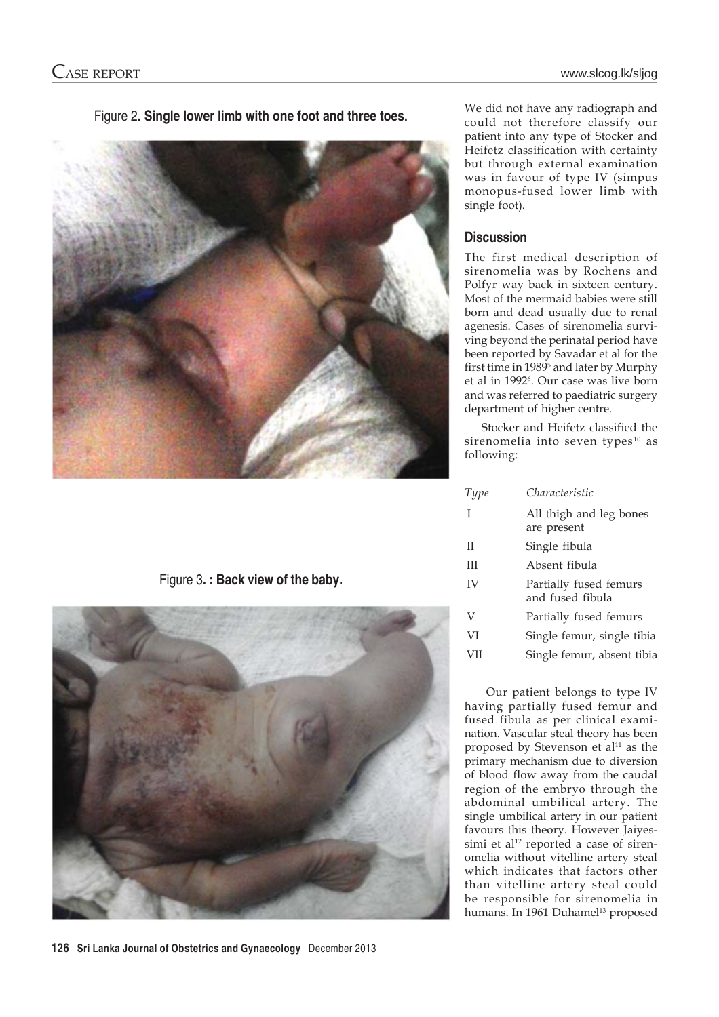

Figure 2**. Single lower limb with one foot and three toes.**

Figure 3**. : Back view of the baby.**



We did not have any radiograph and could not therefore classify our patient into any type of Stocker and Heifetz classification with certainty but through external examination was in favour of type IV (simpus monopus-fused lower limb with single foot).

# **Discussion**

The first medical description of sirenomelia was by Rochens and Polfyr way back in sixteen century. Most of the mermaid babies were still born and dead usually due to renal agenesis. Cases of sirenomelia surviving beyond the perinatal period have been reported by Savadar et al for the first time in 19895 and later by Murphy et al in 1992<sup>6</sup>. Our case was live born and was referred to paediatric surgery department of higher centre.

Stocker and Heifetz classified the sirenomelia into seven types<sup>10</sup> as following:

| Type | Characteristic                             |
|------|--------------------------------------------|
| T    | All thigh and leg bones<br>are present     |
| П    | Single fibula                              |
| Ш    | Absent fibula                              |
| IV   | Partially fused femurs<br>and fused fibula |
| V    | Partially fused femurs                     |
| VI   | Single femur, single tibia                 |
| VII  | Single femur, absent tibia                 |
|      |                                            |

 Our patient belongs to type IV having partially fused femur and fused fibula as per clinical examination. Vascular steal theory has been proposed by Stevenson et  $al<sup>11</sup>$  as the primary mechanism due to diversion of blood flow away from the caudal region of the embryo through the abdominal umbilical artery. The single umbilical artery in our patient favours this theory. However Jaiyessimi et al<sup>12</sup> reported a case of sirenomelia without vitelline artery steal which indicates that factors other than vitelline artery steal could be responsible for sirenomelia in humans. In 1961 Duhamel<sup>13</sup> proposed